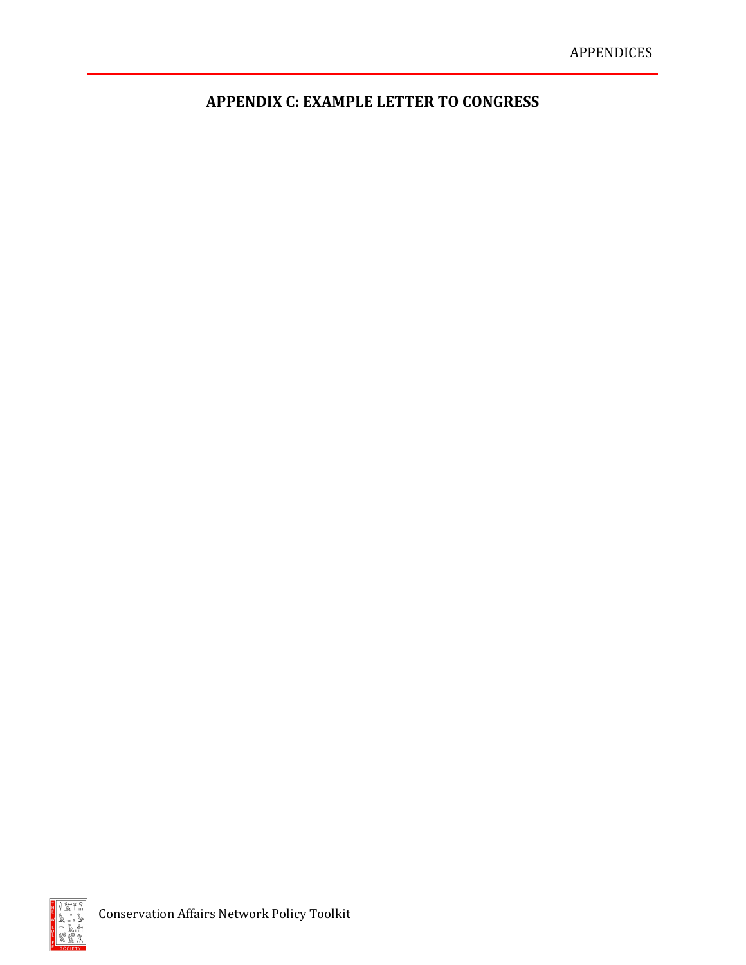**APPENDIX C: EXAMPLE LETTER TO CONGRESS**

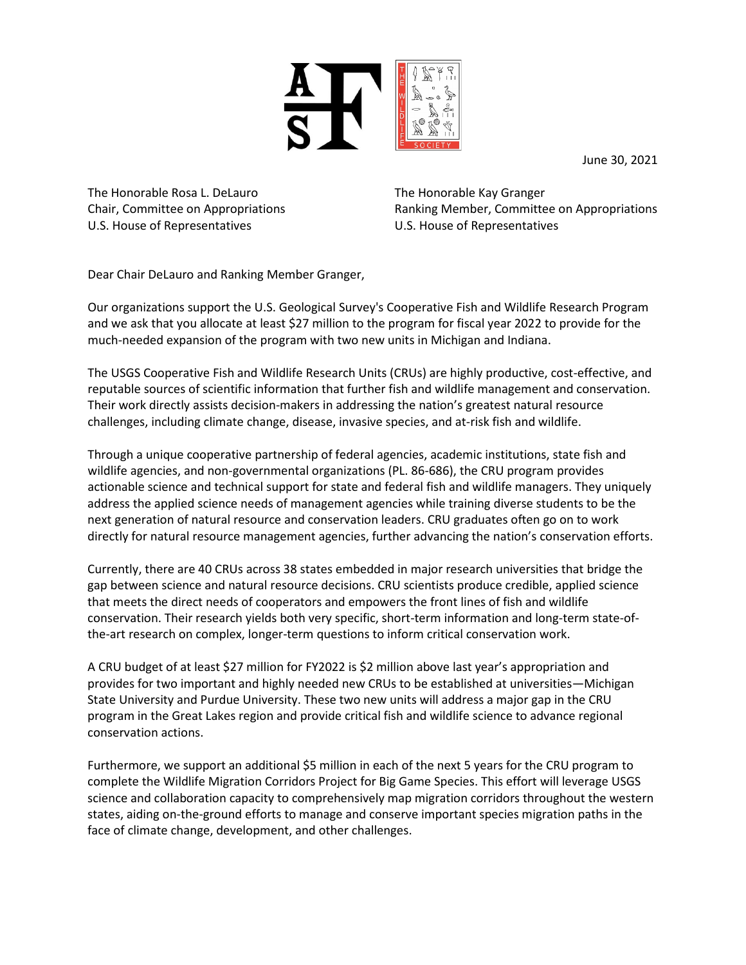

June 30, 2021

The Honorable Rosa L. DeLauro Chair, Committee on Appropriations U.S. House of Representatives

The Honorable Kay Granger Ranking Member, Committee on Appropriations U.S. House of Representatives

Dear Chair DeLauro and Ranking Member Granger,

Our organizations support the U.S. Geological Survey's Cooperative Fish and Wildlife Research Program and we ask that you allocate at least \$27 million to the program for fiscal year 2022 to provide for the much-needed expansion of the program with two new units in Michigan and Indiana.

The USGS Cooperative Fish and Wildlife Research Units (CRUs) are highly productive, cost-effective, and reputable sources of scientific information that further fish and wildlife management and conservation. Their work directly assists decision-makers in addressing the nation's greatest natural resource challenges, including climate change, disease, invasive species, and at-risk fish and wildlife.

Through a unique cooperative partnership of federal agencies, academic institutions, state fish and wildlife agencies, and non-governmental organizations (PL. 86-686), the CRU program provides actionable science and technical support for state and federal fish and wildlife managers. They uniquely address the applied science needs of management agencies while training diverse students to be the next generation of natural resource and conservation leaders. CRU graduates often go on to work directly for natural resource management agencies, further advancing the nation's conservation efforts.

Currently, there are 40 CRUs across 38 states embedded in major research universities that bridge the gap between science and natural resource decisions. CRU scientists produce credible, applied science that meets the direct needs of cooperators and empowers the front lines of fish and wildlife conservation. Their research yields both very specific, short-term information and long-term state-ofthe-art research on complex, longer-term questions to inform critical conservation work.

A CRU budget of at least \$27 million for FY2022 is \$2 million above last year's appropriation and provides for two important and highly needed new CRUs to be established at universities—Michigan State University and Purdue University. These two new units will address a major gap in the CRU program in the Great Lakes region and provide critical fish and wildlife science to advance regional conservation actions.

Furthermore, we support an additional \$5 million in each of the next 5 years for the CRU program to complete the Wildlife Migration Corridors Project for Big Game Species. This effort will leverage USGS science and collaboration capacity to comprehensively map migration corridors throughout the western states, aiding on-the-ground efforts to manage and conserve important species migration paths in the face of climate change, development, and other challenges.